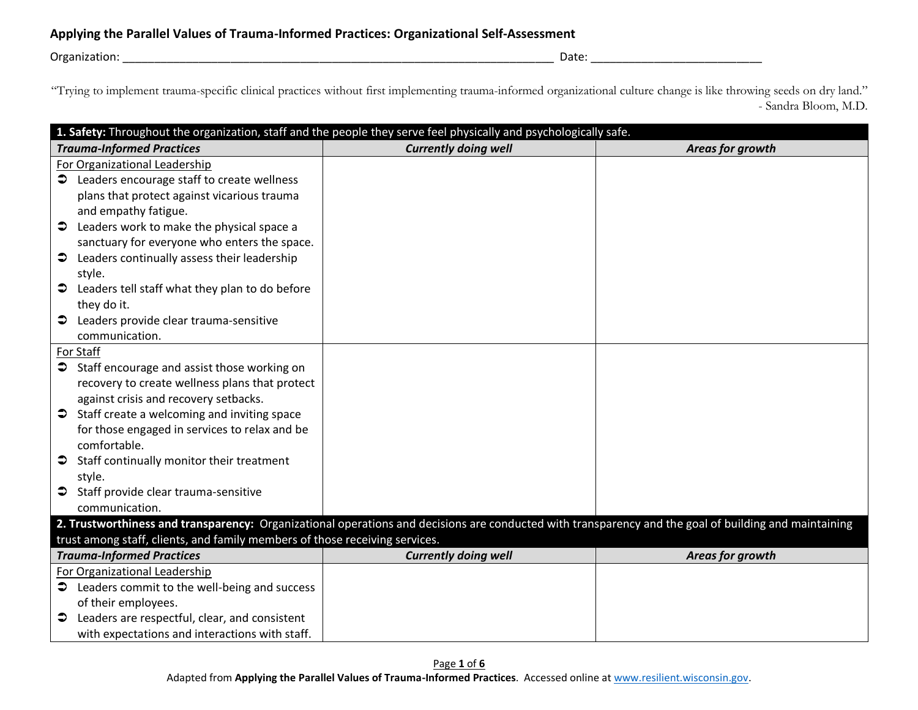| Organization:<br>Date |  |
|-----------------------|--|
|-----------------------|--|

"Trying to implement trauma-specific clinical practices without first implementing trauma-informed organizational culture change is like throwing seeds on dry land." - Sandra Bloom, M.D.

|           | 1. Safety: Throughout the organization, staff and the people they serve feel physically and psychologically safe. |                                                                                                                                                       |                  |
|-----------|-------------------------------------------------------------------------------------------------------------------|-------------------------------------------------------------------------------------------------------------------------------------------------------|------------------|
|           | <b>Trauma-Informed Practices</b>                                                                                  | <b>Currently doing well</b>                                                                                                                           | Areas for growth |
|           | For Organizational Leadership                                                                                     |                                                                                                                                                       |                  |
| $\bullet$ | Leaders encourage staff to create wellness                                                                        |                                                                                                                                                       |                  |
|           | plans that protect against vicarious trauma                                                                       |                                                                                                                                                       |                  |
|           | and empathy fatigue.                                                                                              |                                                                                                                                                       |                  |
| €         | Leaders work to make the physical space a                                                                         |                                                                                                                                                       |                  |
|           | sanctuary for everyone who enters the space.                                                                      |                                                                                                                                                       |                  |
| $\bullet$ | Leaders continually assess their leadership                                                                       |                                                                                                                                                       |                  |
|           | style.                                                                                                            |                                                                                                                                                       |                  |
| $\bullet$ | Leaders tell staff what they plan to do before                                                                    |                                                                                                                                                       |                  |
|           | they do it.                                                                                                       |                                                                                                                                                       |                  |
| ≎         | Leaders provide clear trauma-sensitive                                                                            |                                                                                                                                                       |                  |
|           | communication.                                                                                                    |                                                                                                                                                       |                  |
|           | For Staff                                                                                                         |                                                                                                                                                       |                  |
| $\bullet$ | Staff encourage and assist those working on                                                                       |                                                                                                                                                       |                  |
|           | recovery to create wellness plans that protect                                                                    |                                                                                                                                                       |                  |
|           | against crisis and recovery setbacks.                                                                             |                                                                                                                                                       |                  |
|           | Staff create a welcoming and inviting space                                                                       |                                                                                                                                                       |                  |
|           | for those engaged in services to relax and be                                                                     |                                                                                                                                                       |                  |
|           | comfortable.                                                                                                      |                                                                                                                                                       |                  |
| ∍         | Staff continually monitor their treatment                                                                         |                                                                                                                                                       |                  |
|           | style.                                                                                                            |                                                                                                                                                       |                  |
| $\bullet$ | Staff provide clear trauma-sensitive                                                                              |                                                                                                                                                       |                  |
|           | communication.                                                                                                    |                                                                                                                                                       |                  |
|           |                                                                                                                   | 2. Trustworthiness and transparency: Organizational operations and decisions are conducted with transparency and the goal of building and maintaining |                  |
|           | trust among staff, clients, and family members of those receiving services.                                       |                                                                                                                                                       |                  |
|           | <b>Trauma-Informed Practices</b>                                                                                  | <b>Currently doing well</b>                                                                                                                           | Areas for growth |
|           | For Organizational Leadership                                                                                     |                                                                                                                                                       |                  |
|           | $\bullet$ Leaders commit to the well-being and success                                                            |                                                                                                                                                       |                  |
|           | of their employees.                                                                                               |                                                                                                                                                       |                  |
| ∍         | Leaders are respectful, clear, and consistent                                                                     |                                                                                                                                                       |                  |
|           | with expectations and interactions with staff.                                                                    |                                                                                                                                                       |                  |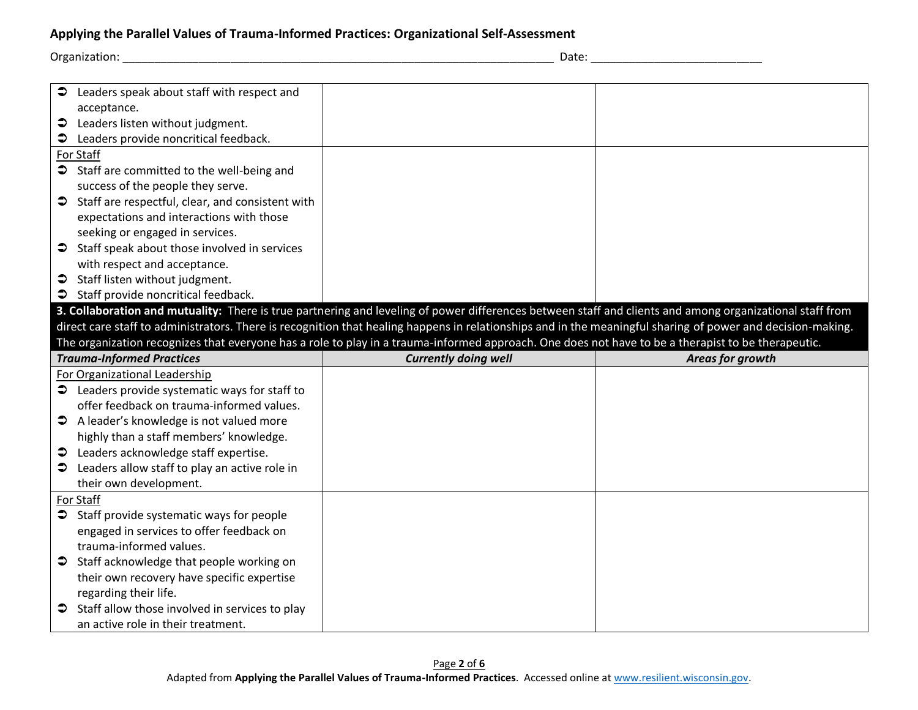Organization: \_\_\_\_\_\_\_\_\_\_\_\_\_\_\_\_\_\_\_\_\_\_\_\_\_\_\_\_\_\_\_\_\_\_\_\_\_\_\_\_\_\_\_\_\_\_\_\_\_\_\_\_\_\_\_\_\_\_\_\_\_\_\_\_\_\_\_\_ Date: \_\_\_\_\_\_\_\_\_\_\_\_\_\_\_\_\_\_\_\_\_\_\_\_\_\_\_

|           | Leaders speak about staff with respect and       |                                                                                                                                                             |                  |
|-----------|--------------------------------------------------|-------------------------------------------------------------------------------------------------------------------------------------------------------------|------------------|
|           | acceptance.                                      |                                                                                                                                                             |                  |
| €         | Leaders listen without judgment.                 |                                                                                                                                                             |                  |
| €         | Leaders provide noncritical feedback.            |                                                                                                                                                             |                  |
|           | For Staff                                        |                                                                                                                                                             |                  |
|           | Staff are committed to the well-being and        |                                                                                                                                                             |                  |
|           | success of the people they serve.                |                                                                                                                                                             |                  |
| $\bullet$ | Staff are respectful, clear, and consistent with |                                                                                                                                                             |                  |
|           | expectations and interactions with those         |                                                                                                                                                             |                  |
|           | seeking or engaged in services.                  |                                                                                                                                                             |                  |
|           | Staff speak about those involved in services     |                                                                                                                                                             |                  |
|           | with respect and acceptance.                     |                                                                                                                                                             |                  |
| €         | Staff listen without judgment.                   |                                                                                                                                                             |                  |
| $\bullet$ | Staff provide noncritical feedback.              |                                                                                                                                                             |                  |
|           |                                                  | 3. Collaboration and mutuality: There is true partnering and leveling of power differences between staff and clients and among organizational staff from    |                  |
|           |                                                  | direct care staff to administrators. There is recognition that healing happens in relationships and in the meaningful sharing of power and decision-making. |                  |
|           |                                                  | The organization recognizes that everyone has a role to play in a trauma-informed approach. One does not have to be a therapist to be therapeutic.          |                  |
|           |                                                  |                                                                                                                                                             |                  |
|           | <b>Trauma-Informed Practices</b>                 | <b>Currently doing well</b>                                                                                                                                 | Areas for growth |
|           | For Organizational Leadership                    |                                                                                                                                                             |                  |
|           | Leaders provide systematic ways for staff to     |                                                                                                                                                             |                  |
|           | offer feedback on trauma-informed values.        |                                                                                                                                                             |                  |
|           | A leader's knowledge is not valued more          |                                                                                                                                                             |                  |
|           | highly than a staff members' knowledge.          |                                                                                                                                                             |                  |
| ⊃         | Leaders acknowledge staff expertise.             |                                                                                                                                                             |                  |
|           | Leaders allow staff to play an active role in    |                                                                                                                                                             |                  |
|           | their own development.                           |                                                                                                                                                             |                  |
|           | For Staff                                        |                                                                                                                                                             |                  |
| $\bullet$ | Staff provide systematic ways for people         |                                                                                                                                                             |                  |
|           | engaged in services to offer feedback on         |                                                                                                                                                             |                  |
|           | trauma-informed values.                          |                                                                                                                                                             |                  |
| $\bullet$ | Staff acknowledge that people working on         |                                                                                                                                                             |                  |
|           | their own recovery have specific expertise       |                                                                                                                                                             |                  |
|           | regarding their life.                            |                                                                                                                                                             |                  |
| $\bullet$ | Staff allow those involved in services to play   |                                                                                                                                                             |                  |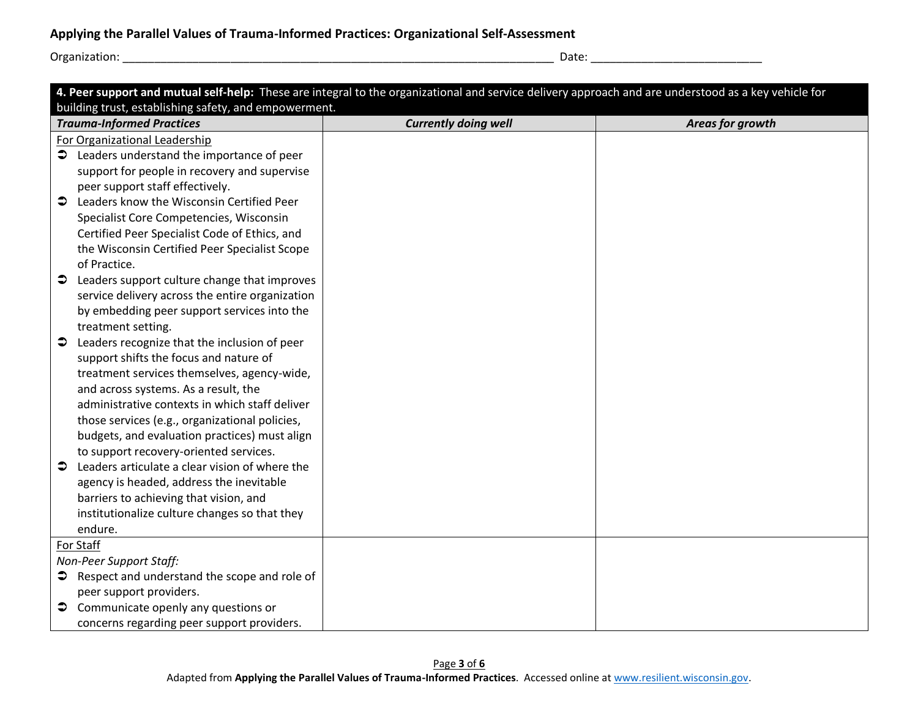| Organization:<br>Date |  |
|-----------------------|--|
|-----------------------|--|

|           | 4. Peer support and mutual self-help: These are integral to the organizational and service delivery approach and are understood as a key vehicle for |                             |                  |
|-----------|------------------------------------------------------------------------------------------------------------------------------------------------------|-----------------------------|------------------|
|           | building trust, establishing safety, and empowerment.                                                                                                |                             |                  |
|           | <b>Trauma-Informed Practices</b>                                                                                                                     | <b>Currently doing well</b> | Areas for growth |
|           | For Organizational Leadership                                                                                                                        |                             |                  |
|           | $\bullet$ Leaders understand the importance of peer                                                                                                  |                             |                  |
|           | support for people in recovery and supervise                                                                                                         |                             |                  |
|           | peer support staff effectively.                                                                                                                      |                             |                  |
| ⊃         | Leaders know the Wisconsin Certified Peer                                                                                                            |                             |                  |
|           | Specialist Core Competencies, Wisconsin                                                                                                              |                             |                  |
|           | Certified Peer Specialist Code of Ethics, and                                                                                                        |                             |                  |
|           | the Wisconsin Certified Peer Specialist Scope                                                                                                        |                             |                  |
|           | of Practice.                                                                                                                                         |                             |                  |
|           | Leaders support culture change that improves                                                                                                         |                             |                  |
|           | service delivery across the entire organization                                                                                                      |                             |                  |
|           | by embedding peer support services into the                                                                                                          |                             |                  |
|           | treatment setting.                                                                                                                                   |                             |                  |
| $\bullet$ | Leaders recognize that the inclusion of peer                                                                                                         |                             |                  |
|           | support shifts the focus and nature of                                                                                                               |                             |                  |
|           | treatment services themselves, agency-wide,                                                                                                          |                             |                  |
|           | and across systems. As a result, the                                                                                                                 |                             |                  |
|           | administrative contexts in which staff deliver                                                                                                       |                             |                  |
|           | those services (e.g., organizational policies,                                                                                                       |                             |                  |
|           | budgets, and evaluation practices) must align                                                                                                        |                             |                  |
|           | to support recovery-oriented services.                                                                                                               |                             |                  |
| $\bullet$ | Leaders articulate a clear vision of where the                                                                                                       |                             |                  |
|           | agency is headed, address the inevitable                                                                                                             |                             |                  |
|           | barriers to achieving that vision, and                                                                                                               |                             |                  |
|           | institutionalize culture changes so that they                                                                                                        |                             |                  |
|           | endure.                                                                                                                                              |                             |                  |
|           | For Staff                                                                                                                                            |                             |                  |
|           | Non-Peer Support Staff:                                                                                                                              |                             |                  |
| €         | Respect and understand the scope and role of                                                                                                         |                             |                  |
|           | peer support providers.                                                                                                                              |                             |                  |
|           | Communicate openly any questions or                                                                                                                  |                             |                  |
|           | concerns regarding peer support providers.                                                                                                           |                             |                  |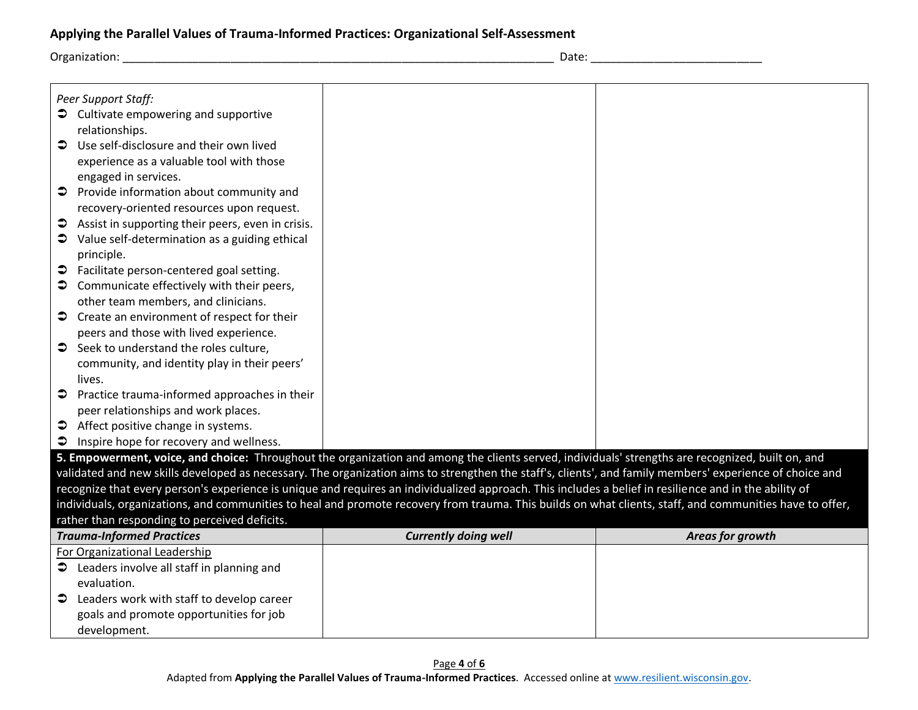| Peer Support Staff:                                              |                                                                                                                                                          |                  |
|------------------------------------------------------------------|----------------------------------------------------------------------------------------------------------------------------------------------------------|------------------|
| Cultivate empowering and supportive                              |                                                                                                                                                          |                  |
| relationships.                                                   |                                                                                                                                                          |                  |
| Use self-disclosure and their own lived<br>$\bullet$             |                                                                                                                                                          |                  |
| experience as a valuable tool with those                         |                                                                                                                                                          |                  |
| engaged in services.                                             |                                                                                                                                                          |                  |
| Provide information about community and<br>€                     |                                                                                                                                                          |                  |
| recovery-oriented resources upon request.                        |                                                                                                                                                          |                  |
| Assist in supporting their peers, even in crisis.                |                                                                                                                                                          |                  |
| Value self-determination as a guiding ethical<br>⊃<br>principle. |                                                                                                                                                          |                  |
| Facilitate person-centered goal setting.<br>$\bullet$            |                                                                                                                                                          |                  |
| Communicate effectively with their peers,<br>€.                  |                                                                                                                                                          |                  |
| other team members, and clinicians.                              |                                                                                                                                                          |                  |
| Create an environment of respect for their<br>€                  |                                                                                                                                                          |                  |
| peers and those with lived experience.                           |                                                                                                                                                          |                  |
| Seek to understand the roles culture,<br>$\bullet$               |                                                                                                                                                          |                  |
| community, and identity play in their peers'                     |                                                                                                                                                          |                  |
| lives.                                                           |                                                                                                                                                          |                  |
| Practice trauma-informed approaches in their<br>€                |                                                                                                                                                          |                  |
| peer relationships and work places.                              |                                                                                                                                                          |                  |
| Affect positive change in systems.<br>∍                          |                                                                                                                                                          |                  |
| Inspire hope for recovery and wellness.<br>$\bullet$             |                                                                                                                                                          |                  |
|                                                                  | 5. Empowerment, voice, and choice: Throughout the organization and among the clients served, individuals' strengths are recognized, built on, and        |                  |
|                                                                  | validated and new skills developed as necessary. The organization aims to strengthen the staff's, clients', and family members' experience of choice and |                  |
|                                                                  | recognize that every person's experience is unique and requires an individualized approach. This includes a belief in resilience and in the ability of   |                  |
| rather than responding to perceived deficits.                    | individuals, organizations, and communities to heal and promote recovery from trauma. This builds on what clients, staff, and communities have to offer, |                  |
| <b>Trauma-Informed Practices</b>                                 | Currently doing well                                                                                                                                     | Areas for arowth |

| <b>Trauma-Informed Practices</b>                    | <b>Currently doing well</b> | Areas for growth |
|-----------------------------------------------------|-----------------------------|------------------|
| For Organizational Leadership                       |                             |                  |
| $\bullet$ Leaders involve all staff in planning and |                             |                  |
| evaluation.                                         |                             |                  |
| $\supset$ Leaders work with staff to develop career |                             |                  |
| goals and promote opportunities for job             |                             |                  |
| development.                                        |                             |                  |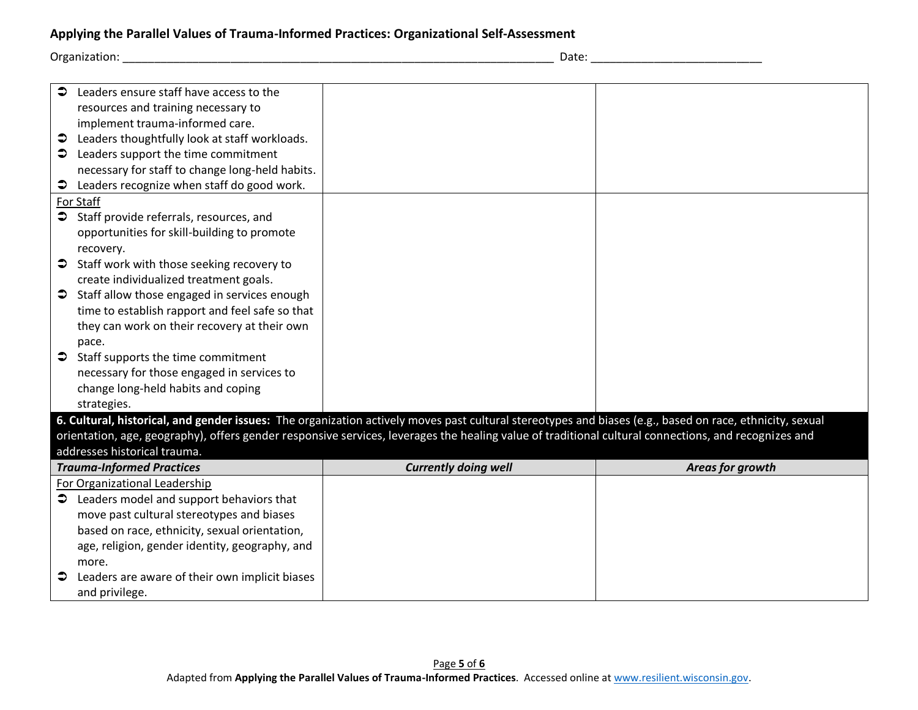| Organization: |  |  |
|---------------|--|--|
|               |  |  |
|               |  |  |

Organization: \_\_\_\_\_\_\_\_\_\_\_\_\_\_\_\_\_\_\_\_\_\_\_\_\_\_\_\_\_\_\_\_\_\_\_\_\_\_\_\_\_\_\_\_\_\_\_\_\_\_\_\_\_\_\_\_\_\_\_\_\_\_\_\_\_\_\_\_ Date: \_\_\_\_\_\_\_\_\_\_\_\_\_\_\_\_\_\_\_\_\_\_\_\_\_\_\_

|           | Leaders ensure staff have access to the         |                                                                                                                                                          |                  |
|-----------|-------------------------------------------------|----------------------------------------------------------------------------------------------------------------------------------------------------------|------------------|
|           | resources and training necessary to             |                                                                                                                                                          |                  |
|           | implement trauma-informed care.                 |                                                                                                                                                          |                  |
| €         | Leaders thoughtfully look at staff workloads.   |                                                                                                                                                          |                  |
|           | Leaders support the time commitment             |                                                                                                                                                          |                  |
|           | necessary for staff to change long-held habits. |                                                                                                                                                          |                  |
| $\bullet$ | Leaders recognize when staff do good work.      |                                                                                                                                                          |                  |
|           | For Staff                                       |                                                                                                                                                          |                  |
| $\bullet$ | Staff provide referrals, resources, and         |                                                                                                                                                          |                  |
|           | opportunities for skill-building to promote     |                                                                                                                                                          |                  |
|           | recovery.                                       |                                                                                                                                                          |                  |
| €         | Staff work with those seeking recovery to       |                                                                                                                                                          |                  |
|           | create individualized treatment goals.          |                                                                                                                                                          |                  |
|           | Staff allow those engaged in services enough    |                                                                                                                                                          |                  |
|           | time to establish rapport and feel safe so that |                                                                                                                                                          |                  |
|           | they can work on their recovery at their own    |                                                                                                                                                          |                  |
|           | pace.                                           |                                                                                                                                                          |                  |
| €         | Staff supports the time commitment              |                                                                                                                                                          |                  |
|           | necessary for those engaged in services to      |                                                                                                                                                          |                  |
|           | change long-held habits and coping              |                                                                                                                                                          |                  |
|           | strategies.                                     |                                                                                                                                                          |                  |
|           |                                                 | 6. Cultural, historical, and gender issues: The organization actively moves past cultural stereotypes and biases (e.g., based on race, ethnicity, sexual |                  |
|           |                                                 | orientation, age, geography), offers gender responsive services, leverages the healing value of traditional cultural connections, and recognizes and     |                  |
|           | addresses historical trauma.                    |                                                                                                                                                          |                  |
|           | <b>Trauma-Informed Practices</b>                | <b>Currently doing well</b>                                                                                                                              | Areas for growth |
|           | For Organizational Leadership                   |                                                                                                                                                          |                  |
| $\bullet$ | Leaders model and support behaviors that        |                                                                                                                                                          |                  |
|           | move past cultural stereotypes and biases       |                                                                                                                                                          |                  |
|           | based on race, ethnicity, sexual orientation,   |                                                                                                                                                          |                  |
|           | age, religion, gender identity, geography, and  |                                                                                                                                                          |                  |
|           | more.                                           |                                                                                                                                                          |                  |
| €         | Leaders are aware of their own implicit biases  |                                                                                                                                                          |                  |
|           | and privilege.                                  |                                                                                                                                                          |                  |